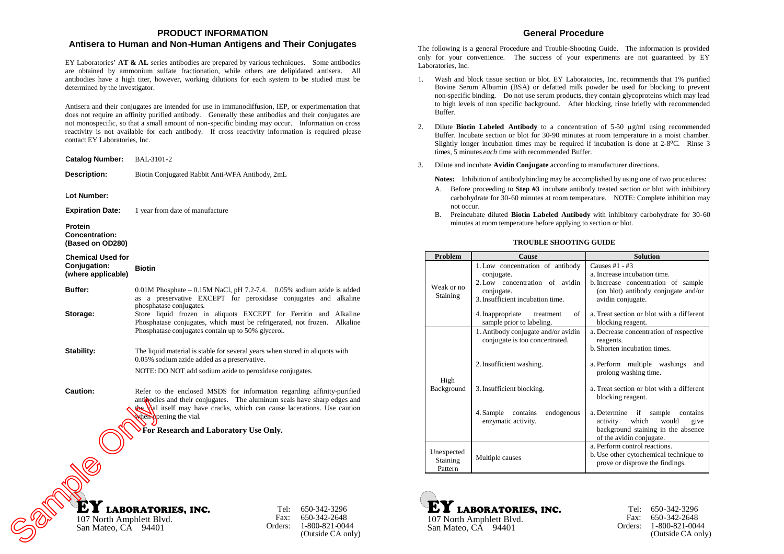# **PRODUCT INFORMATION**

## **Antisera to Human and Non-Human Antigens and Their Conjugates**

EY Laboratories' **AT & AL** series antibodies are prepared by various techniques. Some antibodies are obtained by ammonium sulfate fractionation, while others are delipidated antisera. All antibodies have a high titer, however, working dilutions for each system to be studied must be determined by the investigator.

Antisera and their conjugates are intended for use in immunodiffusion, IEP, or experimentation that does not require an affinity purified antibody. Generally these antibodies and their conjugates are not monospecific, so that a small amount of non-specific binding may occur. Information on cross reactivity is not available for each antibody. If cross reactivity information is required please contact EY Laboratories, Inc.

| <b>Catalog Number:</b>                                         | BAL-3101-2                                                                                                                                                                                                                                                                                                            |          |  |  |
|----------------------------------------------------------------|-----------------------------------------------------------------------------------------------------------------------------------------------------------------------------------------------------------------------------------------------------------------------------------------------------------------------|----------|--|--|
| <b>Description:</b>                                            | Biotin Conjugated Rabbit Anti-WFA Antibody, 2mL                                                                                                                                                                                                                                                                       |          |  |  |
| Lot Number:                                                    |                                                                                                                                                                                                                                                                                                                       |          |  |  |
| <b>Expiration Date:</b>                                        | 1 year from date of manufacture                                                                                                                                                                                                                                                                                       |          |  |  |
| Protein<br><b>Concentration:</b><br>(Based on OD280)           |                                                                                                                                                                                                                                                                                                                       |          |  |  |
| <b>Chemical Used for</b><br>Conjugation:<br>(where applicable) | <b>Biotin</b>                                                                                                                                                                                                                                                                                                         |          |  |  |
| <b>Buffer:</b>                                                 | $0.01M$ Phosphate $-0.15M$ NaCl, pH 7.2-7.4. 0.05% sodium azide is added<br>as a preservative EXCEPT for peroxidase conjugates and alkaline<br>phosphatase conjugates.                                                                                                                                                |          |  |  |
| Storage:                                                       | Store liquid frozen in aliquots EXCEPT for Ferritin and Alkaline<br>Phosphatase conjugates, which must be refrigerated, not frozen.<br>Phosphatase conjugates contain up to 50% glycerol.                                                                                                                             | Alkaline |  |  |
| Stability:                                                     | The liquid material is stable for several years when stored in aliquots with<br>0.05% sodium azide added as a preservative.                                                                                                                                                                                           |          |  |  |
| <b>Caution:</b>                                                | NOTE: DO NOT add sodium azide to peroxidase conjugates.<br>Refer to the enclosed MSDS for information regarding affinity-purified<br>anticologies and their conjugates. The aluminum seals have sharp edges and<br>the Vial itself may have cracks, which can cause lacerations. Use caution<br>when pening the vial. |          |  |  |
| For Research and Laboratory Use Only.                          |                                                                                                                                                                                                                                                                                                                       |          |  |  |
|                                                                |                                                                                                                                                                                                                                                                                                                       |          |  |  |
| 107 North Amphlett Blvd.<br>San Mateo, CA                      | <b>LABORATORIES, INC.</b><br>Tel:<br>650-342-3296<br>Fax:<br>650-342-2648<br>1-800-821-0044<br>Orders:<br>94401<br>(Outside CA only)                                                                                                                                                                                  |          |  |  |

## **General Procedure**

The following is a general Procedure and Trouble-Shooting Guide. The information is provided only for your convenience. The success of your experiments are not guaranteed by EY Laboratories, Inc.

- 1. Wash and block tissue section or blot. EY Laboratories, Inc. recommends that 1% purified Bovine Serum Albumin (BSA) or defatted milk powder be used for blocking to prevent non-specific binding. Do not use serum products, they contain glycoproteins which may lead to high levels of non specific background. After blocking, rinse briefly with recommended Buffer.
- 2. Dilute **Biotin Labeled** Antibody to a concentration of  $5-50 \mu g/ml$  using recommended Buffer. Incubate section or blot for 30-90 minutes at room temperature in a moist chamber. Slightly longer incubation times may be required if incubation is done at 2-8ºC. Rinse 3 times, 5 minutes *each* time with recommended Buffer.
- 3. Dilute and incubate **Avidin Conjugate** according to manufacturer directions.

**Notes:** Inhibition of antibodybinding may be accomplished by using one of two procedures:

- A. Before proceeding to **Step #3** incubate antibody treated section or blot with inhibitory carbohydrate for 30-60 minutes at room temperature. NOTE: Complete inhibition may not occur.
- B. Preincubate diluted **Biotin Labeled Antibody** with inhibitory carbohydrate for 30-60 minutes at room temperature before applying to section or blot.

### **TROUBLE SHOOTING GUIDE**

| Problem                           | Cause                                                                                                                              | <b>Solution</b>                                                                                                                                     |
|-----------------------------------|------------------------------------------------------------------------------------------------------------------------------------|-----------------------------------------------------------------------------------------------------------------------------------------------------|
| Weak or no<br><b>Staining</b>     | 1. Low concentration of antibody<br>conjugate.<br>2. Low concentration of avidin<br>conjugate.<br>3. Insufficient incubation time. | Causes $#1 - #3$<br>a. Increase incubation time.<br>b. Increase concentration of sample<br>(on blot) antibody conjugate and/or<br>avidin conjugate. |
|                                   | of<br>4. Inappropriate<br>treatment<br>sample prior to labeling.                                                                   | a. Treat section or blot with a different<br>blocking reagent.                                                                                      |
|                                   | 1. Antibody conjugate and/or avidin<br>conjugate is too concentrated.                                                              | a. Decrease concentration of respective<br>reagents.<br>b. Shorten incubation times.                                                                |
| High<br>Background                | 2. Insufficient washing.                                                                                                           | a. Perform multiple washings<br>and<br>prolong washing time.                                                                                        |
|                                   | 3. Insufficient blocking.                                                                                                          | a. Treat section or blot with a different<br>blocking reagent.                                                                                      |
|                                   | 4. Sample contains<br>endogenous<br>enzymatic activity.                                                                            | a. Determine if sample contains<br>which<br>would<br>activity<br>give<br>background staining in the absence<br>of the avidin conjugate.             |
| Unexpected<br>Staining<br>Pattern | Multiple causes                                                                                                                    | a. Perform control reactions.<br>b. Use other cytochemical technique to<br>prove or disprove the findings.                                          |





Tel: 650-342-3296 Fax: 650-342-2648 Orders: 1-800-821-0044 (Outside CA only)